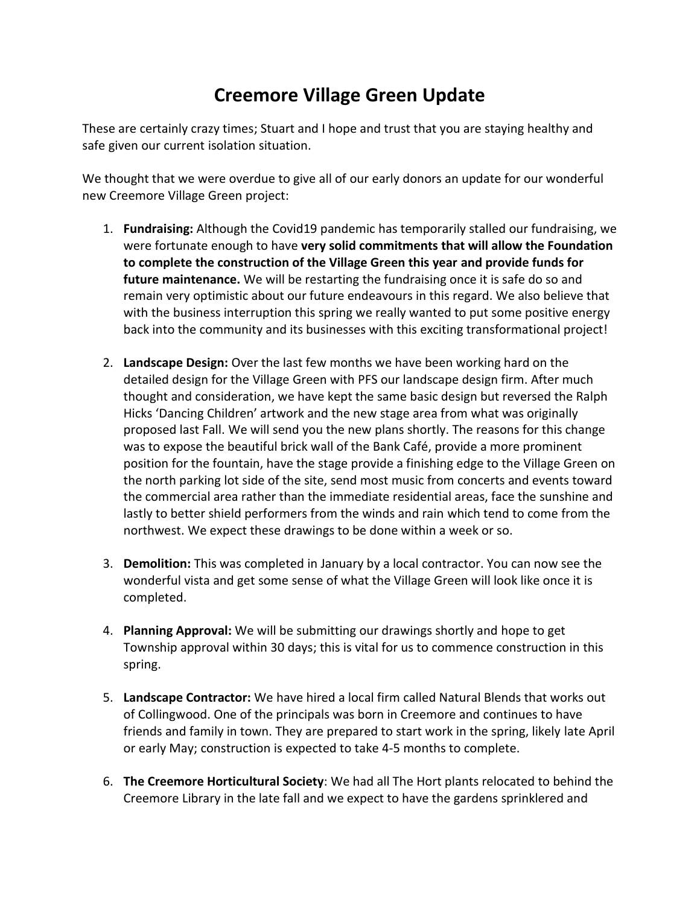## **Creemore Village Green Update**

These are certainly crazy times; Stuart and I hope and trust that you are staying healthy and safe given our current isolation situation.

We thought that we were overdue to give all of our early donors an update for our wonderful new Creemore Village Green project:

- 1. **Fundraising:** Although the Covid19 pandemic has temporarily stalled our fundraising, we were fortunate enough to have **very solid commitments that will allow the Foundation to complete the construction of the Village Green this year and provide funds for future maintenance.** We will be restarting the fundraising once it is safe do so and remain very optimistic about our future endeavours in this regard. We also believe that with the business interruption this spring we really wanted to put some positive energy back into the community and its businesses with this exciting transformational project!
- 2. **Landscape Design:** Over the last few months we have been working hard on the detailed design for the Village Green with PFS our landscape design firm. After much thought and consideration, we have kept the same basic design but reversed the Ralph Hicks 'Dancing Children' artwork and the new stage area from what was originally proposed last Fall. We will send you the new plans shortly. The reasons for this change was to expose the beautiful brick wall of the Bank Café, provide a more prominent position for the fountain, have the stage provide a finishing edge to the Village Green on the north parking lot side of the site, send most music from concerts and events toward the commercial area rather than the immediate residential areas, face the sunshine and lastly to better shield performers from the winds and rain which tend to come from the northwest. We expect these drawings to be done within a week or so.
- 3. **Demolition:** This was completed in January by a local contractor. You can now see the wonderful vista and get some sense of what the Village Green will look like once it is completed.
- 4. **Planning Approval:** We will be submitting our drawings shortly and hope to get Township approval within 30 days; this is vital for us to commence construction in this spring.
- 5. **Landscape Contractor:** We have hired a local firm called Natural Blends that works out of Collingwood. One of the principals was born in Creemore and continues to have friends and family in town. They are prepared to start work in the spring, likely late April or early May; construction is expected to take 4-5 months to complete.
- 6. **The Creemore Horticultural Society**: We had all The Hort plants relocated to behind the Creemore Library in the late fall and we expect to have the gardens sprinklered and